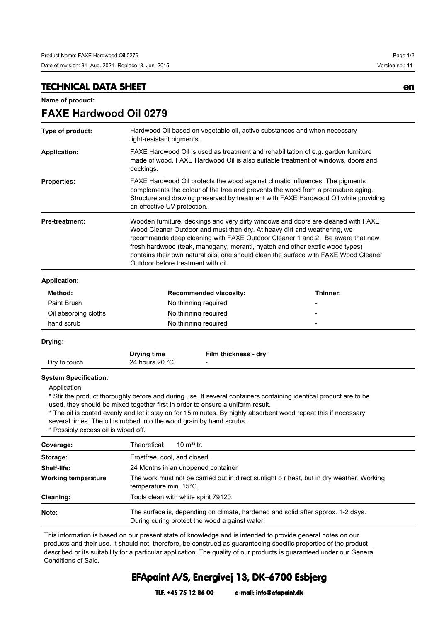**FAXE Hardwood Oil 0279**

## **TECHNICAL DATA SHEET en**

**Name of product:**

| Type of product:      | Hardwood Oil based on vegetable oil, active substances and when necessary<br>light-resistant pigments.                                                                                                                                                                                                                                                                                                                                                       |  |
|-----------------------|--------------------------------------------------------------------------------------------------------------------------------------------------------------------------------------------------------------------------------------------------------------------------------------------------------------------------------------------------------------------------------------------------------------------------------------------------------------|--|
| <b>Application:</b>   | FAXE Hardwood Oil is used as treatment and rehabilitation of e.g. garden furniture<br>made of wood. FAXE Hardwood Oil is also suitable treatment of windows, doors and<br>deckings.                                                                                                                                                                                                                                                                          |  |
| <b>Properties:</b>    | FAXE Hardwood Oil protects the wood against climatic influences. The pigments<br>complements the colour of the tree and prevents the wood from a premature aging.<br>Structure and drawing preserved by treatment with FAXE Hardwood Oil while providing<br>an effective UV protection.                                                                                                                                                                      |  |
| <b>Pre-treatment:</b> | Wooden furniture, deckings and very dirty windows and doors are cleaned with FAXE<br>Wood Cleaner Outdoor and must then dry. At heavy dirt and weathering, we<br>recommenda deep cleaning with FAXE Outdoor Cleaner 1 and 2. Be aware that new<br>fresh hardwood (teak, mahogany, meranti, nyatoh and other exotic wood types)<br>contains their own natural oils, one should clean the surface with FAXE Wood Cleaner<br>Outdoor before treatment with oil. |  |
| <b>Application:</b>   |                                                                                                                                                                                                                                                                                                                                                                                                                                                              |  |

| Method:              | <b>Recommended viscosity:</b> | Thinner: |
|----------------------|-------------------------------|----------|
| Paint Brush          | No thinning required          | -        |
| Oil absorbing cloths | No thinning required          |          |
| hand scrub           | No thinning required          | -        |

**Drying:**

|              | <b>Drying time</b> | Film thickness - dry |
|--------------|--------------------|----------------------|
| Dry to touch | 24 hours 20 °C     |                      |

## **System Specification:**

Application:

\* Stir the product thoroughly before and during use. If several containers containing identical product are to be used, they should be mixed together first in order to ensure a uniform result.

\* The oil is coated evenly and let it stay on for 15 minutes. By highly absorbent wood repeat this if necessary several times. The oil is rubbed into the wood grain by hand scrubs.

\* Possibly excess oil is wiped off.

| Coverage:                  | 10 $m^2$ /ltr.<br>Theoretical:                                                                                                     |  |  |
|----------------------------|------------------------------------------------------------------------------------------------------------------------------------|--|--|
| Storage:                   | Frostfree, cool, and closed.                                                                                                       |  |  |
| Shelf-life:                | 24 Months in an unopened container                                                                                                 |  |  |
| <b>Working temperature</b> | The work must not be carried out in direct sunlight o r heat, but in dry weather. Working<br>temperature min. 15°C.                |  |  |
| Cleaning:                  | Tools clean with white spirit 79120.                                                                                               |  |  |
| Note:                      | The surface is, depending on climate, hardened and solid after approx. 1-2 days.<br>During curing protect the wood a gainst water. |  |  |

This information is based on our present state of knowledge and is intended to provide general notes on our products and their use. It should not, therefore, be construed as guaranteeing specific properties of the product described or its suitability for a particular application. The quality of our products is guaranteed under our General Conditions of Sale.

## **EFApaint A/S, Energivej 13, DK-6700 Esbjerg**

**TLF. +45 75 12 86 00 e-mail: info@efapaint.dk**